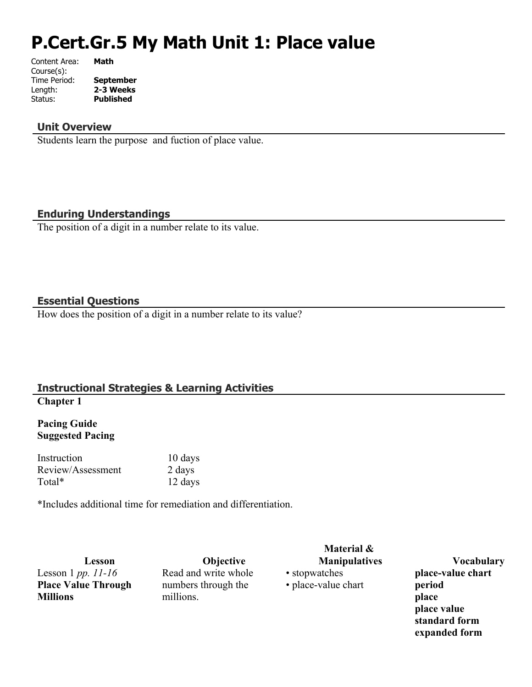# **P.Cert.Gr.5 My Math Unit 1: Place value**

| Content Area: | <b>Math</b>      |
|---------------|------------------|
| Course(s):    |                  |
| Time Period:  | <b>September</b> |
| Length:       | 2-3 Weeks        |
| Status:       | <b>Published</b> |
|               |                  |

#### **Unit Overview**

Students learn the purpose and fuction of place value.

## **Enduring Understandings**

The position of a digit in a number relate to its value.

#### **Essential Questions**

How does the position of a digit in a number relate to its value?

#### **Instructional Strategies & Learning Activities Chapter 1**

## **Pacing Guide Suggested Pacing**

Instruction 10 days Review/Assessment 2 days Total\* 12 days

\*Includes additional time for remediation and differentiation.

Lesson 1 *pp. 11-16* **Place Value Through Millions**

**Lesson Objective** Read and write whole numbers through the millions.

**Material &** 

• stopwatches • place-value chart

**Manipulatives Vocabulary place-value chart period place place value standard form expanded form**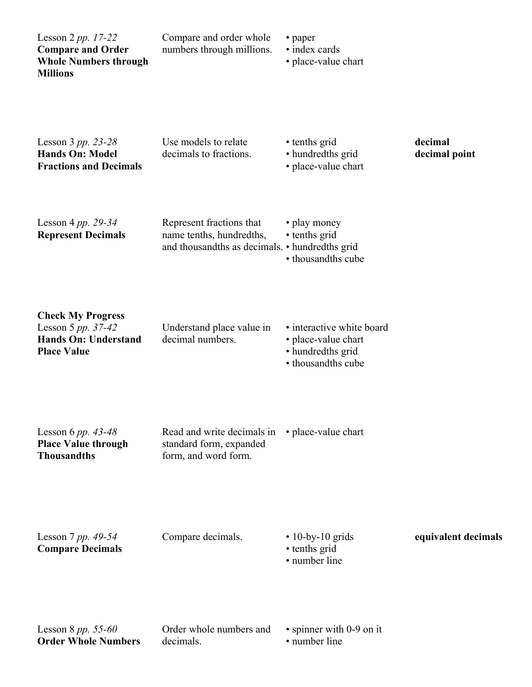| Lesson $2 pp. 17-22$<br><b>Compare and Order</b><br><b>Whole Numbers through</b><br><b>Millions</b> | Compare and order whole<br>numbers through millions.                                                   | • paper<br>• index cards<br>• place-value chart                                             |                          |
|-----------------------------------------------------------------------------------------------------|--------------------------------------------------------------------------------------------------------|---------------------------------------------------------------------------------------------|--------------------------|
| Lesson $3 pp. 23-28$<br><b>Hands On: Model</b><br><b>Fractions and Decimals</b>                     | Use models to relate<br>decimals to fractions.                                                         | • tenths grid<br>• hundredths grid<br>• place-value chart                                   | decimal<br>decimal point |
| Lesson 4 pp. 29-34<br><b>Represent Decimals</b>                                                     | Represent fractions that<br>name tenths, hundredths,<br>and thousandths as decimals. • hundredths grid | • play money<br>• tenths grid<br>• thousandths cube                                         |                          |
| <b>Check My Progress</b><br>Lesson 5 pp. 37-42<br><b>Hands On: Understand</b><br><b>Place Value</b> | Understand place value in<br>decimal numbers.                                                          | · interactive white board<br>• place-value chart<br>• hundredths grid<br>• thousandths cube |                          |
| Lesson 6 pp. $43-48$<br><b>Place Value through</b><br><b>Thousandths</b>                            | Read and write decimals in<br>standard form, expanded<br>form, and word form.                          | • place-value chart                                                                         |                          |
| Lesson 7 pp. 49-54<br><b>Compare Decimals</b>                                                       | Compare decimals.                                                                                      | $\cdot$ 10-by-10 grids<br>• tenths grid<br>• number line                                    | equivalent decimals      |
| Lesson 8 $pp. 55-60$<br><b>Order Whole Numbers</b>                                                  | Order whole numbers and<br>decimals.                                                                   | • spinner with 0-9 on it<br>• number line                                                   |                          |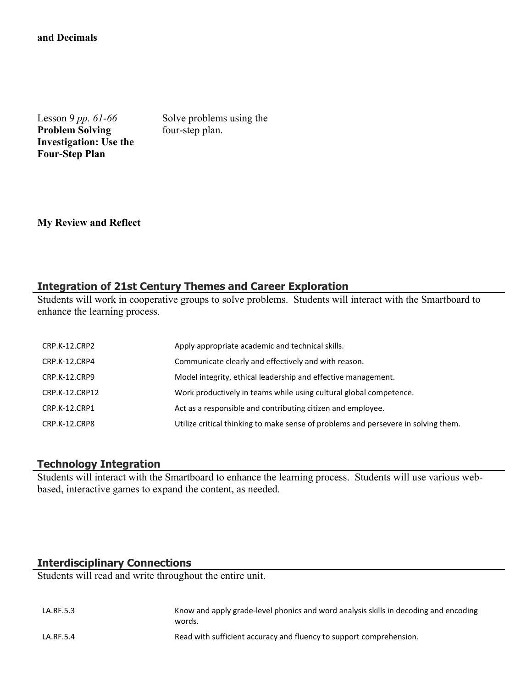#### **and Decimals** 5.NBT.3b

Lesson 9 *pp. 61-66* **Problem Solving Investigation: Use the Four-Step Plan**

Solve problems using the four-step plan.

**My Review and Reflect**

#### **Integration of 21st Century Themes and Career Exploration**

Students will work in cooperative groups to solve problems. Students will interact with the Smartboard to enhance the learning process.

| CRP.K-12.CRP2  | Apply appropriate academic and technical skills.                                   |
|----------------|------------------------------------------------------------------------------------|
| CRP.K-12.CRP4  | Communicate clearly and effectively and with reason.                               |
| CRP.K-12.CRP9  | Model integrity, ethical leadership and effective management.                      |
| CRP.K-12.CRP12 | Work productively in teams while using cultural global competence.                 |
| CRP.K-12.CRP1  | Act as a responsible and contributing citizen and employee.                        |
| CRP.K-12.CRP8  | Utilize critical thinking to make sense of problems and persevere in solving them. |

#### **Technology Integration**

Students will interact with the Smartboard to enhance the learning process. Students will use various webbased, interactive games to expand the content, as needed.

## **Interdisciplinary Connections**

Students will read and write throughout the entire unit.

| LA.RF.5.3 | Know and apply grade-level phonics and word analysis skills in decoding and encoding<br>words. |
|-----------|------------------------------------------------------------------------------------------------|
| LA.RF.5.4 | Read with sufficient accuracy and fluency to support comprehension.                            |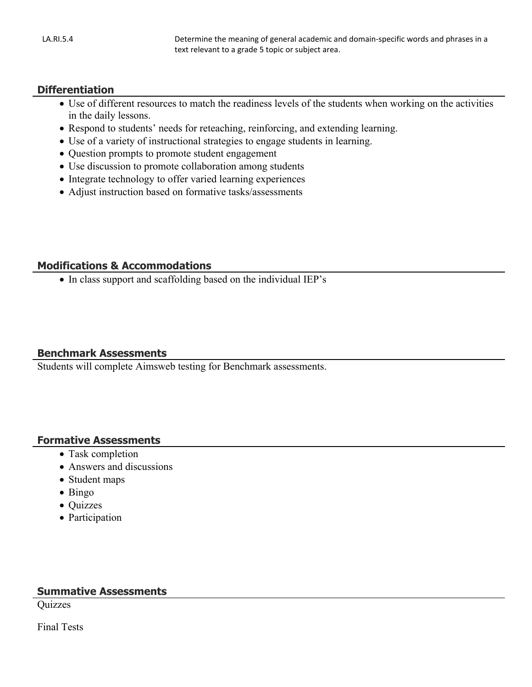## **Differentiation**

- Use of different resources to match the readiness levels of the students when working on the activities in the daily lessons.
- Respond to students' needs for reteaching, reinforcing, and extending learning.
- Use of a variety of instructional strategies to engage students in learning.
- Question prompts to promote student engagement
- Use discussion to promote collaboration among students
- Integrate technology to offer varied learning experiences
- Adjust instruction based on formative tasks/assessments

## **Modifications & Accommodations**

• In class support and scaffolding based on the individual IEP's

## **Benchmark Assessments**

Students will complete Aimsweb testing for Benchmark assessments.

## **Formative Assessments**

- Task completion
- Answers and discussions
- Student maps
- $\bullet$  Bingo
- Quizzes
- Participation

## **Summative Assessments**

Quizzes

Final Tests